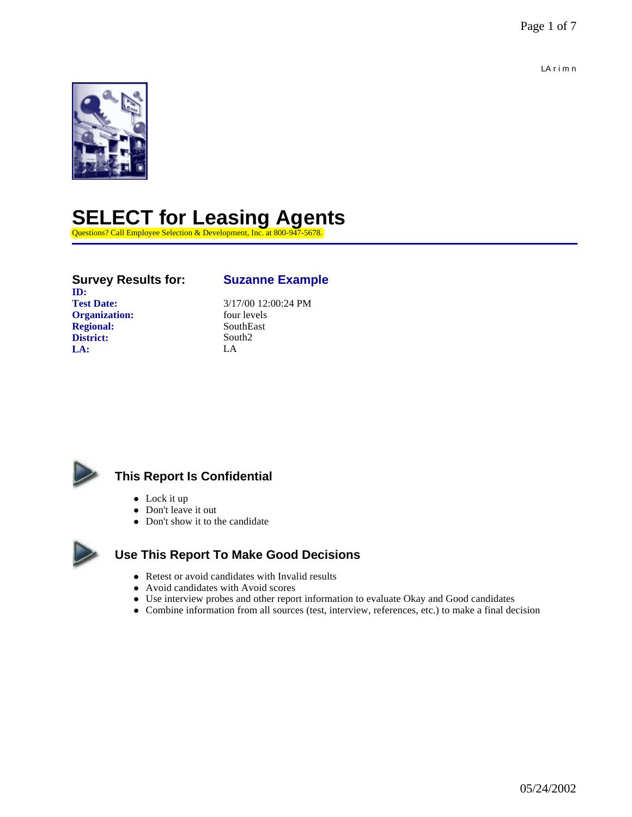LA r i m n



## **SELECT for Leasing Agents**

Questions? Call Employee Selection & Development, Inc. at 800-9-

### **Survey Results for: Suzanne Example ID: Test Date:**  $\begin{array}{r} 3/17/00 \ 12:00:24 \ \text{PM} \\ \text{for} \end{array}$ **Organization: Regional:** SouthEast **District:** South2

**LA:** LA



### **This Report Is Confidential**

- $\bullet$  Lock it up
- Don't leave it out
- Don't show it to the candidate



### **Use This Report To Make Good Decisions**

- Retest or avoid candidates with Invalid results
- Avoid candidates with Avoid scores
- Use interview probes and other report information to evaluate Okay and Good candidates
- Combine information from all sources (test, interview, references, etc.) to make a final decision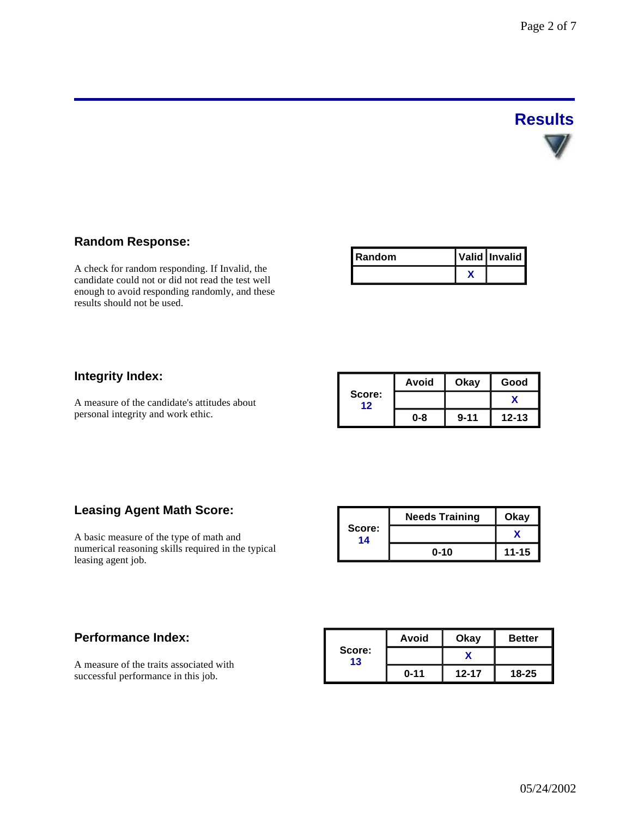# **Results**

### **Random Response:**

A check for random responding. If Invalid, the candidate could not or did not read the test well enough to avoid responding randomly, and these results should not be used.

| l Random | Valid Invalid |
|----------|---------------|
|          |               |

### **Integrity Index:**

A measure of the candidate's attitudes about personal integrity and work ethic.

|              | Avoid | Okay     | Good      |
|--------------|-------|----------|-----------|
| Score:<br>12 |       |          |           |
|              | 0-8   | $9 - 11$ | $12 - 13$ |

### **Leasing Agent Math Score:**

A basic measure of the type of math and numerical reasoning skills required in the typical leasing agent job.

|              | <b>Needs Training</b> | Okay      |  |
|--------------|-----------------------|-----------|--|
| Score:<br>14 |                       |           |  |
|              | $0 - 10$              | $11 - 15$ |  |

### **Performance Index:**

A measure of the traits associated with successful performance in this job.

|              | Avoid    | Okay      | <b>Better</b> |  |
|--------------|----------|-----------|---------------|--|
| Score:<br>13 |          |           |               |  |
|              | $0 - 11$ | $12 - 17$ | $18 - 25$     |  |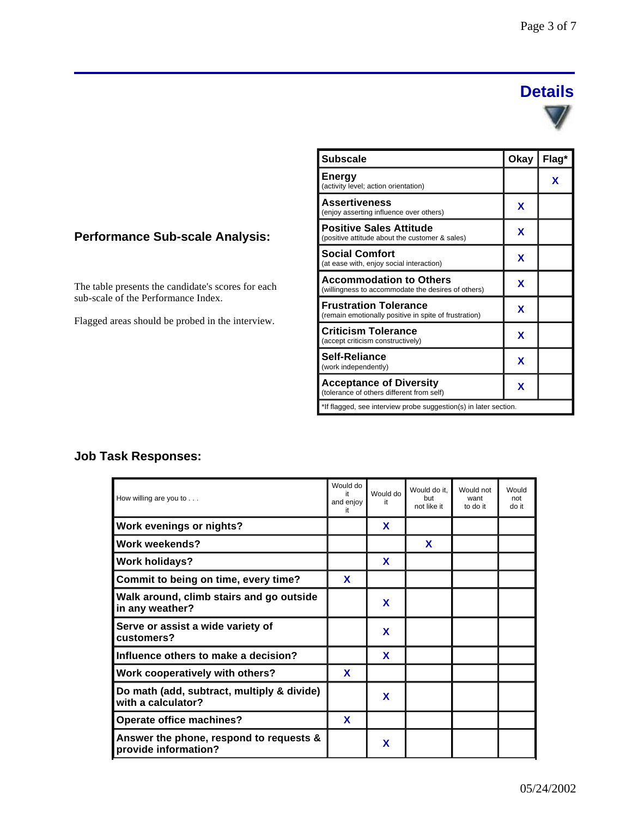### **Details**



The table presents the candidate's scores for each sub-scale of the Performance Index.

Flagged areas should be probed in the interview.

| <b>Subscale</b>                                                                       | Okay | Flag* |  |  |
|---------------------------------------------------------------------------------------|------|-------|--|--|
| <b>Energy</b><br>(activity level; action orientation)                                 |      | x     |  |  |
| <b>Assertiveness</b><br>(enjoy asserting influence over others)                       | x    |       |  |  |
| <b>Positive Sales Attitude</b><br>(positive attitude about the customer & sales)      | X    |       |  |  |
| <b>Social Comfort</b><br>(at ease with, enjoy social interaction)                     | x    |       |  |  |
| <b>Accommodation to Others</b><br>(willingness to accommodate the desires of others)  | X    |       |  |  |
| <b>Frustration Tolerance</b><br>(remain emotionally positive in spite of frustration) | X    |       |  |  |
| <b>Criticism Tolerance</b><br>(accept criticism constructively)                       | X    |       |  |  |
| Self-Reliance<br>(work independently)                                                 | X    |       |  |  |
| <b>Acceptance of Diversity</b><br>(tolerance of others different from self)           | x    |       |  |  |
| *If flagged, see interview probe suggestion(s) in later section.                      |      |       |  |  |

### **Job Task Responses:**

| How willing are you to                                           | Would do<br>it<br>and enjoy<br>it | Would do<br>it | Would do it.<br>but<br>not like it | Would not<br>want<br>to do it | Would<br>not<br>do it |
|------------------------------------------------------------------|-----------------------------------|----------------|------------------------------------|-------------------------------|-----------------------|
| Work evenings or nights?                                         |                                   | X              |                                    |                               |                       |
| Work weekends?                                                   |                                   |                | X                                  |                               |                       |
| <b>Work holidays?</b>                                            |                                   | X              |                                    |                               |                       |
| Commit to being on time, every time?                             | X                                 |                |                                    |                               |                       |
| Walk around, climb stairs and go outside<br>in any weather?      |                                   | X              |                                    |                               |                       |
| Serve or assist a wide variety of<br>customers?                  |                                   | X              |                                    |                               |                       |
| Influence others to make a decision?                             |                                   | X              |                                    |                               |                       |
| Work cooperatively with others?                                  | X                                 |                |                                    |                               |                       |
| Do math (add, subtract, multiply & divide)<br>with a calculator? |                                   | X              |                                    |                               |                       |
| Operate office machines?                                         | X                                 |                |                                    |                               |                       |
| Answer the phone, respond to requests &<br>provide information?  |                                   | X              |                                    |                               |                       |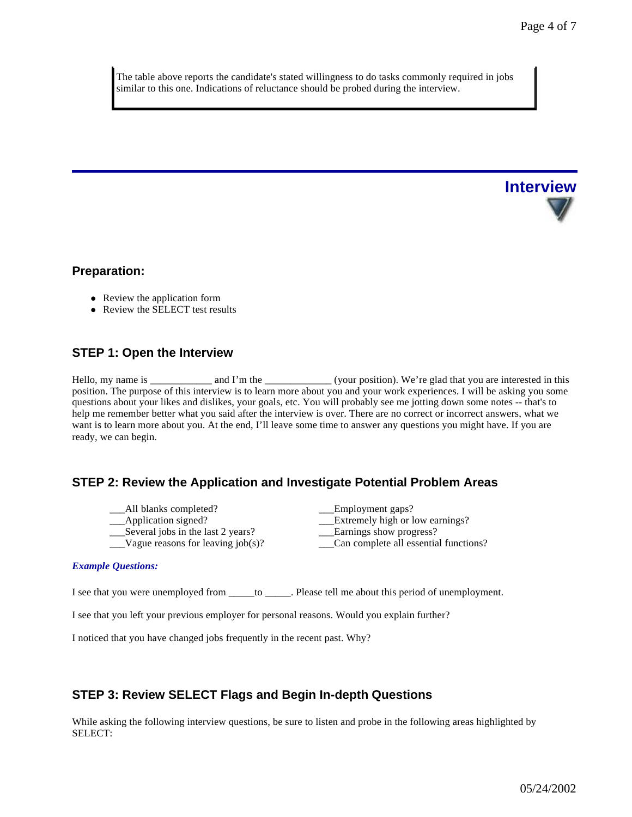The table above reports the candidate's stated willingness to do tasks commonly required in jobs similar to this one. Indications of reluctance should be probed during the interview.



### **Preparation:**

- Review the application form
- $\bullet$  Review the SELECT test results

### **STEP 1: Open the Interview**

Hello, my name is \_\_\_\_\_\_\_\_\_\_\_\_ and I'm the \_\_\_\_\_\_\_\_\_\_\_\_\_(your position). We're glad that you are interested in this position. The purpose of this interview is to learn more about you and your work experiences. I will be asking you some questions about your likes and dislikes, your goals, etc. You will probably see me jotting down some notes -- that's to help me remember better what you said after the interview is over. There are no correct or incorrect answers, what we want is to learn more about you. At the end, I'll leave some time to answer any questions you might have. If you are ready, we can begin.

### **STEP 2: Review the Application and Investigate Potential Problem Areas**

- All blanks completed? Employment gaps?
- $\frac{\text{Several jobs in the last 2 years?}}{\text{Vague reasons for leaving job(s)?}}$
- 

\_\_\_Application signed? \_\_\_Extremely high or low earnings? \_\_Can complete all essential functions?

#### *Example Questions:*

I see that you were unemployed from \_\_\_\_\_to \_\_\_\_\_. Please tell me about this period of unemployment.

I see that you left your previous employer for personal reasons. Would you explain further?

I noticed that you have changed jobs frequently in the recent past. Why?

### **STEP 3: Review SELECT Flags and Begin In-depth Questions**

While asking the following interview questions, be sure to listen and probe in the following areas highlighted by SELECT: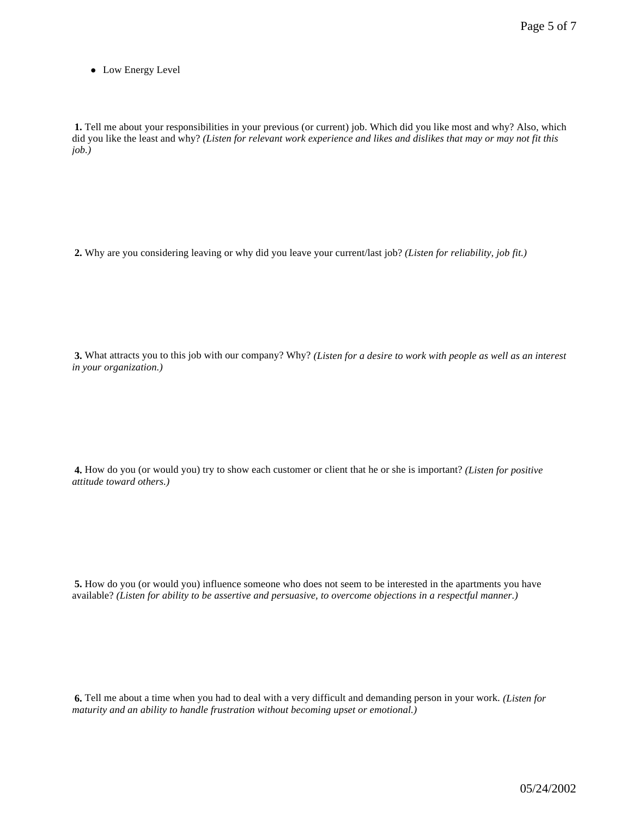• Low Energy Level

**1.** Tell me about your responsibilities in your previous (or current) job. Which did you like most and why? Also, which did you like the least and why? *(Listen for relevant work experience and likes and dislikes that may or may not fit this job.)*

**2.** Why are you considering leaving or why did you leave your current/last job? *(Listen for reliability, job fit.)*

**3.** What attracts you to this job with our company? Why? *(Listen for a desire to work with people as well as an interest in your organization.)* 

**4.** How do you (or would you) try to show each customer or client that he or she is important? *(Listen for positive attitude toward others.)*

**5.** How do you (or would you) influence someone who does not seem to be interested in the apartments you have available? *(Listen for ability to be assertive and persuasive, to overcome objections in a respectful manner.)*

**6.** Tell me about a time when you had to deal with a very difficult and demanding person in your work. *(Listen for maturity and an ability to handle frustration without becoming upset or emotional.)*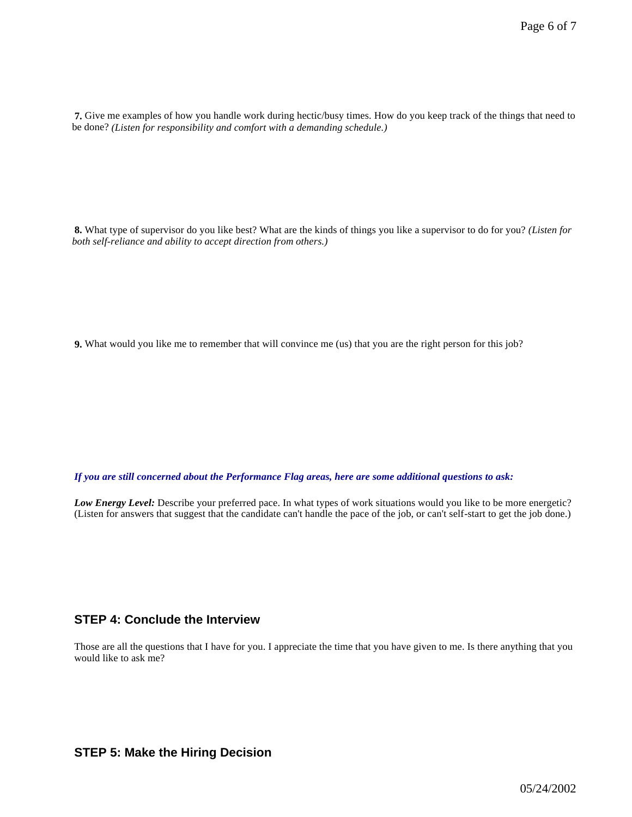**7.** Give me examples of how you handle work during hectic/busy times. How do you keep track of the things that need to be done? *(Listen for responsibility and comfort with a demanding schedule.)*

**8.** What type of supervisor do you like best? What are the kinds of things you like a supervisor to do for you? *(Listen for both self-reliance and ability to accept direction from others.)*

**9.** What would you like me to remember that will convince me (us) that you are the right person for this job?

*If you are still concerned about the Performance Flag areas, here are some additional questions to ask:*

*Low Energy Level:* Describe your preferred pace. In what types of work situations would you like to be more energetic? (Listen for answers that suggest that the candidate can't handle the pace of the job, or can't self-start to get the job done.)

### **STEP 4: Conclude the Interview**

Those are all the questions that I have for you. I appreciate the time that you have given to me. Is there anything that you would like to ask me?

### **STEP 5: Make the Hiring Decision**